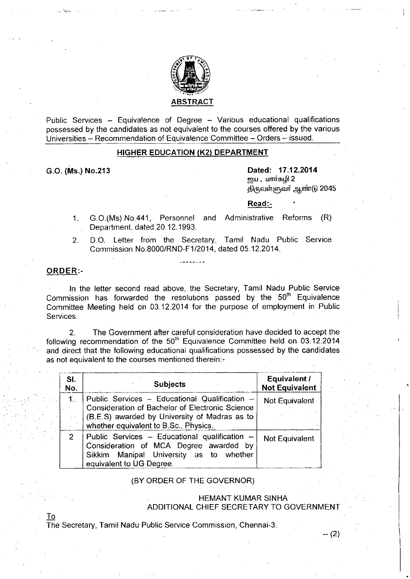

Public Services - Equivalence of Degree - Various educational qualifications possessed by the candidates as not equivalent to the courses offered by the various Universities - Recommendation of Equivalence Committee - Orders - issued.

### HIGHER EDUCATION (K2) DEPARTMENT

G.O. (Ms.) NO.213

.\_ ••.:..c'.>.

Dated: 17.12.2014 **ஜய , மார்கழி 2** திருவள்ளுவர் ஆண்டு 2045

#### Read:-

- 1. G.0.(Ms).No.441, Personnel and Administrative Reforms (R) Department, dated 20.12.1993.
- 2. D.O. Letter from the Secretary, Tamil Nadu Public Service Commission NO.8000/RND-F1/2014, dated 05.12.2014.

## ORDER:-

In the letter second read above, the Secretary, Tamil Nadu Public Service Commission has forwarded the resolutions passed by the 50<sup>th</sup> Equivalence Committee Meeting held on 03.12.2014 for the purpose of employment in Public Services.

2. The Government after careful consideration have decided to accept the following recommendation of the  $50<sup>th</sup>$  Equivalence Committee held on 03.12.2014 and direct that the following educational qualifications possessed by the candidates as not equivalent to the courses mentioned therein:-

| SI.<br>No.     | <b>Subjects</b>                                                                                                                                                                            | Equivalent /<br><b>Not Equivalent</b> |
|----------------|--------------------------------------------------------------------------------------------------------------------------------------------------------------------------------------------|---------------------------------------|
| $\mathbf{1}$ . | Public Services - Educational Qualification -<br>Consideration of Bachelor of Electronic Science<br>(B.E.S) awarded by University of Madras as to<br>whether equivalent to B.Sc., Physics. | Not Equivalent                        |
| 2.             | Public Services - Educational qualification -<br>Consideration of MCA Degree awarded by<br>Sikkim Manipal University as to whether<br>equivalent to UG Degree.                             | Not Equivalent                        |

#### (BY ORDER OF THE GOVERNOR)

# HEMANT KUMAR SINHA ADDITIONAL CHIEF SECRETARY TO GOVERNMENT

-- (2)

<u>To</u> The Secretary, Tamil Nadu Public Service Commission, Chennai-3.